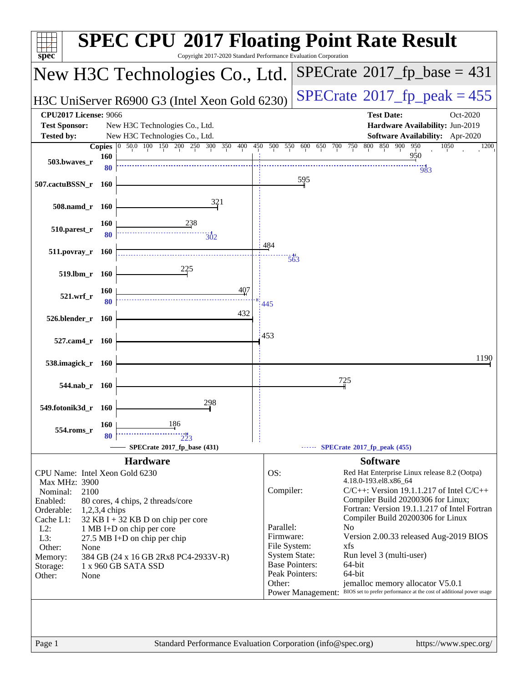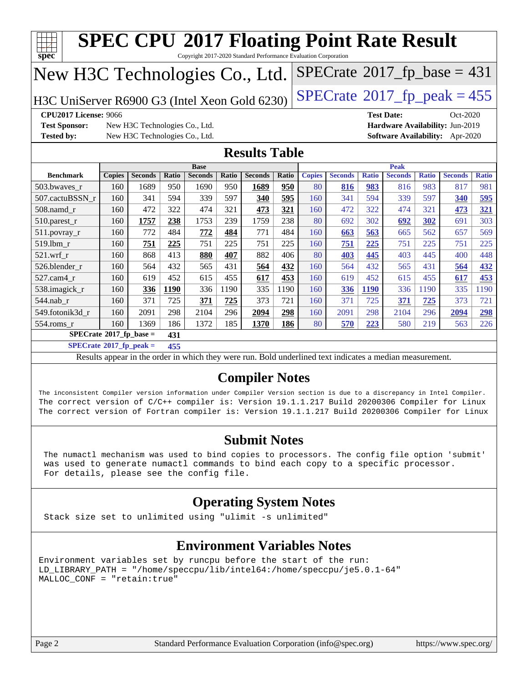| spec                                                                                                                              |                                                                                                                                                                                                                                                                                                                               |                                |              |                |       | <b>SPEC CPU®2017 Floating Point Rate Result</b><br>Copyright 2017-2020 Standard Performance Evaluation Corporation |              |               |                |              |                |              |                                 |              |
|-----------------------------------------------------------------------------------------------------------------------------------|-------------------------------------------------------------------------------------------------------------------------------------------------------------------------------------------------------------------------------------------------------------------------------------------------------------------------------|--------------------------------|--------------|----------------|-------|--------------------------------------------------------------------------------------------------------------------|--------------|---------------|----------------|--------------|----------------|--------------|---------------------------------|--------------|
| $SPECrate$ <sup>®</sup> 2017_fp_base = 431<br>New H3C Technologies Co., Ltd.                                                      |                                                                                                                                                                                                                                                                                                                               |                                |              |                |       |                                                                                                                    |              |               |                |              |                |              |                                 |              |
| $SPECTate@2017_fp\_peak = 455$<br>H3C UniServer R6900 G3 (Intel Xeon Gold 6230)                                                   |                                                                                                                                                                                                                                                                                                                               |                                |              |                |       |                                                                                                                    |              |               |                |              |                |              |                                 |              |
| <b>CPU2017 License: 9066</b><br><b>Test Date:</b><br>Oct-2020                                                                     |                                                                                                                                                                                                                                                                                                                               |                                |              |                |       |                                                                                                                    |              |               |                |              |                |              |                                 |              |
| <b>Test Sponsor:</b><br>New H3C Technologies Co., Ltd.<br>Hardware Availability: Jun-2019                                         |                                                                                                                                                                                                                                                                                                                               |                                |              |                |       |                                                                                                                    |              |               |                |              |                |              |                                 |              |
| <b>Tested by:</b>                                                                                                                 |                                                                                                                                                                                                                                                                                                                               | New H3C Technologies Co., Ltd. |              |                |       |                                                                                                                    |              |               |                |              |                |              | Software Availability: Apr-2020 |              |
|                                                                                                                                   |                                                                                                                                                                                                                                                                                                                               |                                |              |                |       | <b>Results Table</b>                                                                                               |              |               |                |              |                |              |                                 |              |
|                                                                                                                                   |                                                                                                                                                                                                                                                                                                                               |                                |              | <b>Base</b>    |       |                                                                                                                    |              |               |                |              | <b>Peak</b>    |              |                                 |              |
| <b>Benchmark</b>                                                                                                                  | <b>Copies</b>                                                                                                                                                                                                                                                                                                                 | <b>Seconds</b>                 | <b>Ratio</b> | <b>Seconds</b> | Ratio | <b>Seconds</b>                                                                                                     | <b>Ratio</b> | <b>Copies</b> | <b>Seconds</b> | <b>Ratio</b> | <b>Seconds</b> | <b>Ratio</b> | <b>Seconds</b>                  | <b>Ratio</b> |
| 503.bwaves_r                                                                                                                      | 160                                                                                                                                                                                                                                                                                                                           | 1689                           | 950          | 1690           | 950   | 1689                                                                                                               | 950          | 80            | 816            | 983          | 816            | 983          | 817                             | 981          |
| 507.cactuBSSN r                                                                                                                   | 160                                                                                                                                                                                                                                                                                                                           | 341                            | 594          | 339            | 597   | 340                                                                                                                | 595          | 160           | 341            | 594          | 339            | 597          | 340                             | 595          |
| 508.namd r                                                                                                                        | 160                                                                                                                                                                                                                                                                                                                           | 472                            | 322          | 474            | 321   | 473                                                                                                                | 321          | 160           | 472            | 322          | 474            | 321          | 473                             | 321          |
| 510.parest_r                                                                                                                      | 160                                                                                                                                                                                                                                                                                                                           | 1757                           | 238          | 1753           | 239   | 1759                                                                                                               | 238          | 80            | 692            | 302          | 692            | 302          | 691                             | 303          |
| 511.povray_r                                                                                                                      | 160                                                                                                                                                                                                                                                                                                                           | 772                            | 484          | 772            | 484   | 771                                                                                                                | 484          | 160           | 663            | 563          | 665            | 562          | 657                             | 569          |
| 519.lbm r                                                                                                                         | 160                                                                                                                                                                                                                                                                                                                           | 751                            | 225          | 751            | 225   | 751                                                                                                                | 225          | 160           | 751            | 225          | 751            | 225          | 751                             | 225          |
| $521.wrf_r$                                                                                                                       | 160                                                                                                                                                                                                                                                                                                                           | 868                            | 413          | 880            | 407   | 882                                                                                                                | 406          | 80            | 403            | 445          | 403            | 445          | 400                             | 448          |
| 526.blender r                                                                                                                     | 160                                                                                                                                                                                                                                                                                                                           | 564                            | 432          | 565            | 431   | 564                                                                                                                | 432          | 160           | 564            | 432          | 565            | 431          | 564                             | 432          |
| 527.cam4_r                                                                                                                        | 160                                                                                                                                                                                                                                                                                                                           | 619                            | 452          | 615            | 455   | 617                                                                                                                | 453          | 160           | 619            | 452          | 615            | 455          | 617                             | 453          |
| 538.imagick_r                                                                                                                     | 160                                                                                                                                                                                                                                                                                                                           | 336                            | <b>1190</b>  | 336            | 1190  | 335                                                                                                                | 1190         | 160           | 336            | <b>1190</b>  | 336            | 1190         | 335                             | 1190         |
| 544.nab r                                                                                                                         | 160                                                                                                                                                                                                                                                                                                                           | 371                            | 725          | 371            | 725   | 373                                                                                                                | 721          | 160           | 371            | 725          | 371            | 725          | 373                             | 721          |
| 549.fotonik3d_r                                                                                                                   | 160                                                                                                                                                                                                                                                                                                                           | 2091                           | 298          | 2104           | 296   | 2094                                                                                                               | 298          | 160           | 2091           | 298          | 2104           | 296          | 2094                            | 298          |
| 554.roms r                                                                                                                        | 160                                                                                                                                                                                                                                                                                                                           | 1369                           | 186          | 1372           | 185   | 1370                                                                                                               | 186          | 80            | 570            | 223          | 580            | 219          | 563                             | 226          |
| $SPECrate^*2017_fp\_base =$                                                                                                       |                                                                                                                                                                                                                                                                                                                               |                                | 431          |                |       |                                                                                                                    |              |               |                |              |                |              |                                 |              |
| $SPECrate*2017_fp\_peak =$                                                                                                        |                                                                                                                                                                                                                                                                                                                               |                                | 455          |                |       |                                                                                                                    |              |               |                |              |                |              |                                 |              |
|                                                                                                                                   |                                                                                                                                                                                                                                                                                                                               |                                |              |                |       |                                                                                                                    |              |               |                |              |                |              |                                 |              |
| Results appear in the order in which they were run. Bold underlined text indicates a median measurement.<br><b>Compiler Notes</b> |                                                                                                                                                                                                                                                                                                                               |                                |              |                |       |                                                                                                                    |              |               |                |              |                |              |                                 |              |
|                                                                                                                                   | The inconsistent Compiler version information under Compiler Version section is due to a discrepancy in Intel Compiler.<br>The correct version of C/C++ compiler is: Version 19.1.1.217 Build 20200306 Compiler for Linux<br>The correct version of Fortran compiler is: Version 19.1.1.217 Build 20200306 Compiler for Linux |                                |              |                |       |                                                                                                                    |              |               |                |              |                |              |                                 |              |

#### **[Submit Notes](http://www.spec.org/auto/cpu2017/Docs/result-fields.html#SubmitNotes)**

 The numactl mechanism was used to bind copies to processors. The config file option 'submit' was used to generate numactl commands to bind each copy to a specific processor. For details, please see the config file.

#### **[Operating System Notes](http://www.spec.org/auto/cpu2017/Docs/result-fields.html#OperatingSystemNotes)**

Stack size set to unlimited using "ulimit -s unlimited"

#### **[Environment Variables Notes](http://www.spec.org/auto/cpu2017/Docs/result-fields.html#EnvironmentVariablesNotes)**

Environment variables set by runcpu before the start of the run: LD\_LIBRARY\_PATH = "/home/speccpu/lib/intel64:/home/speccpu/je5.0.1-64" MALLOC\_CONF = "retain:true"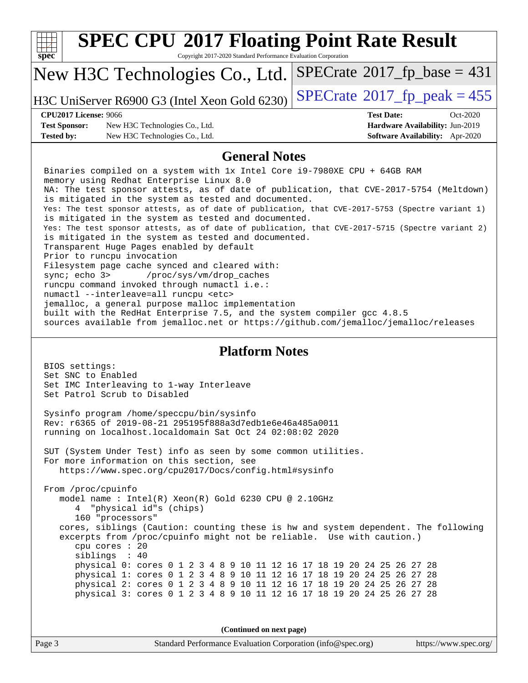| <b>SPEC CPU®2017 Floating Point Rate Result</b><br>Copyright 2017-2020 Standard Performance Evaluation Corporation<br>$spec^*$                                                                                                                                                                                                                                                                                                                                                                                                                                                                                                                                                                                                                                                                                                                                                                                                                                                                                                                                                                      |                                                                           |  |  |  |  |
|-----------------------------------------------------------------------------------------------------------------------------------------------------------------------------------------------------------------------------------------------------------------------------------------------------------------------------------------------------------------------------------------------------------------------------------------------------------------------------------------------------------------------------------------------------------------------------------------------------------------------------------------------------------------------------------------------------------------------------------------------------------------------------------------------------------------------------------------------------------------------------------------------------------------------------------------------------------------------------------------------------------------------------------------------------------------------------------------------------|---------------------------------------------------------------------------|--|--|--|--|
| New H3C Technologies Co., Ltd.                                                                                                                                                                                                                                                                                                                                                                                                                                                                                                                                                                                                                                                                                                                                                                                                                                                                                                                                                                                                                                                                      | $SPECrate^{\circ}2017$ [p base = 431                                      |  |  |  |  |
| H3C UniServer R6900 G3 (Intel Xeon Gold 6230)                                                                                                                                                                                                                                                                                                                                                                                                                                                                                                                                                                                                                                                                                                                                                                                                                                                                                                                                                                                                                                                       | $SPECrate^{\circ}2017$ _fp_peak = 455                                     |  |  |  |  |
| <b>CPU2017 License: 9066</b>                                                                                                                                                                                                                                                                                                                                                                                                                                                                                                                                                                                                                                                                                                                                                                                                                                                                                                                                                                                                                                                                        | <b>Test Date:</b><br>Oct-2020                                             |  |  |  |  |
| <b>Test Sponsor:</b><br>New H3C Technologies Co., Ltd.<br><b>Tested by:</b><br>New H3C Technologies Co., Ltd.                                                                                                                                                                                                                                                                                                                                                                                                                                                                                                                                                                                                                                                                                                                                                                                                                                                                                                                                                                                       | Hardware Availability: Jun-2019<br><b>Software Availability:</b> Apr-2020 |  |  |  |  |
| <b>General Notes</b>                                                                                                                                                                                                                                                                                                                                                                                                                                                                                                                                                                                                                                                                                                                                                                                                                                                                                                                                                                                                                                                                                |                                                                           |  |  |  |  |
| Binaries compiled on a system with 1x Intel Core i9-7980XE CPU + 64GB RAM<br>memory using Redhat Enterprise Linux 8.0<br>NA: The test sponsor attests, as of date of publication, that CVE-2017-5754 (Meltdown)<br>is mitigated in the system as tested and documented.<br>Yes: The test sponsor attests, as of date of publication, that CVE-2017-5753 (Spectre variant 1)<br>is mitigated in the system as tested and documented.<br>Yes: The test sponsor attests, as of date of publication, that CVE-2017-5715 (Spectre variant 2)<br>is mitigated in the system as tested and documented.<br>Transparent Huge Pages enabled by default<br>Prior to runcpu invocation<br>Filesystem page cache synced and cleared with:<br>sync; echo 3><br>/proc/sys/vm/drop_caches<br>runcpu command invoked through numactl i.e.:<br>numactl --interleave=all runcpu <etc><br/>jemalloc, a general purpose malloc implementation<br/>built with the RedHat Enterprise 7.5, and the system compiler gcc 4.8.5<br/>sources available from jemalloc.net or https://github.com/jemalloc/jemalloc/releases</etc> |                                                                           |  |  |  |  |
| <b>Platform Notes</b><br>BIOS settings:<br>Set SNC to Enabled<br>Set IMC Interleaving to 1-way Interleave<br>Set Patrol Scrub to Disabled                                                                                                                                                                                                                                                                                                                                                                                                                                                                                                                                                                                                                                                                                                                                                                                                                                                                                                                                                           |                                                                           |  |  |  |  |
| Sysinfo program /home/speccpu/bin/sysinfo<br>Rev: r6365 of 2019-08-21 295195f888a3d7edble6e46a485a0011<br>running on localhost. localdomain Sat Oct 24 02:08:02 2020                                                                                                                                                                                                                                                                                                                                                                                                                                                                                                                                                                                                                                                                                                                                                                                                                                                                                                                                |                                                                           |  |  |  |  |
| SUT (System Under Test) info as seen by some common utilities.<br>For more information on this section, see<br>https://www.spec.org/cpu2017/Docs/config.html#sysinfo                                                                                                                                                                                                                                                                                                                                                                                                                                                                                                                                                                                                                                                                                                                                                                                                                                                                                                                                |                                                                           |  |  |  |  |
| From /proc/cpuinfo<br>model name: Intel(R) Xeon(R) Gold 6230 CPU @ 2.10GHz<br>"physical id"s (chips)<br>160 "processors"<br>cores, siblings (Caution: counting these is hw and system dependent. The following<br>excerpts from /proc/cpuinfo might not be reliable. Use with caution.)<br>cpu cores : 20<br>siblings : 40<br>physical 0: cores 0 1 2 3 4 8 9 10 11 12 16 17 18 19 20 24 25 26 27 28<br>physical 1: cores 0 1 2 3 4 8 9 10 11 12 16 17 18 19 20 24 25 26 27 28<br>physical 2: cores 0 1 2 3 4 8 9 10 11 12 16 17 18 19 20 24 25 26 27 28<br>physical 3: cores 0 1 2 3 4 8 9 10 11 12 16 17 18 19 20 24 25 26 27 28                                                                                                                                                                                                                                                                                                                                                                                                                                                                  |                                                                           |  |  |  |  |
| (Continued on next page)                                                                                                                                                                                                                                                                                                                                                                                                                                                                                                                                                                                                                                                                                                                                                                                                                                                                                                                                                                                                                                                                            |                                                                           |  |  |  |  |
| Page 3<br>Standard Performance Evaluation Corporation (info@spec.org)                                                                                                                                                                                                                                                                                                                                                                                                                                                                                                                                                                                                                                                                                                                                                                                                                                                                                                                                                                                                                               | https://www.spec.org/                                                     |  |  |  |  |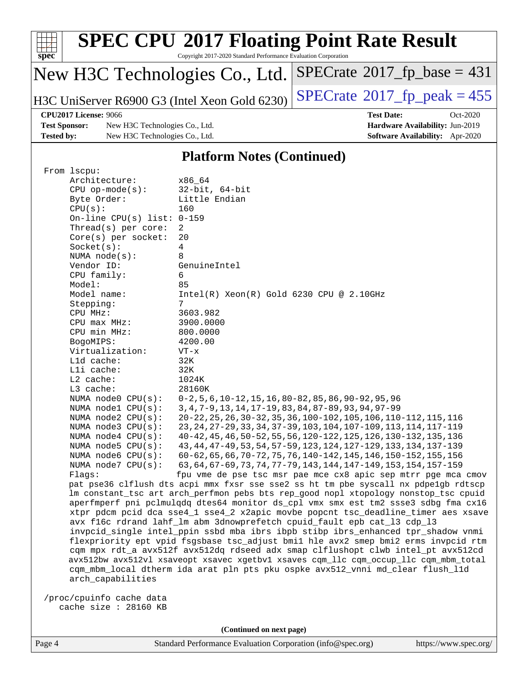| spec <sup>®</sup>                 | <b>SPEC CPU®2017 Floating Point Rate Result</b><br>Copyright 2017-2020 Standard Performance Evaluation Corporation |                                              |  |  |  |  |  |
|-----------------------------------|--------------------------------------------------------------------------------------------------------------------|----------------------------------------------|--|--|--|--|--|
|                                   | New H3C Technologies Co., Ltd.                                                                                     | $SPECrate^{\circledast}2017_fp\_base = 431$  |  |  |  |  |  |
|                                   | H3C UniServer R6900 G3 (Intel Xeon Gold 6230)                                                                      | $SPECrate^{\circledcirc}2017$ _fp_peak = 455 |  |  |  |  |  |
| CPU2017 License: 9066             |                                                                                                                    | <b>Test Date:</b><br>$Oct-2020$              |  |  |  |  |  |
| <b>Test Sponsor:</b>              | New H3C Technologies Co., Ltd.                                                                                     | Hardware Availability: Jun-2019              |  |  |  |  |  |
| <b>Tested by:</b>                 | New H3C Technologies Co., Ltd.                                                                                     | <b>Software Availability:</b> Apr-2020       |  |  |  |  |  |
| <b>Platform Notes (Continued)</b> |                                                                                                                    |                                              |  |  |  |  |  |

#### **[Platform Notes \(Continued\)](http://www.spec.org/auto/cpu2017/Docs/result-fields.html#PlatformNotes)**

| From lscpu:                  |                                                                                      |
|------------------------------|--------------------------------------------------------------------------------------|
| Architecture:                | x86 64                                                                               |
| $CPU$ op-mode( $s$ ):        | $32$ -bit, $64$ -bit                                                                 |
| Byte Order:                  | Little Endian                                                                        |
| CPU(s):                      | 160                                                                                  |
| On-line CPU(s) list: $0-159$ |                                                                                      |
| Thread( $s$ ) per core:      | 2                                                                                    |
| Core(s) per socket:          | 20                                                                                   |
| Socket(s):                   | 4                                                                                    |
| NUMA $node(s):$              | 8                                                                                    |
| Vendor ID:                   | GenuineIntel                                                                         |
| CPU family:                  | 6                                                                                    |
| Model:                       | 85                                                                                   |
| Model name:                  | $Intel(R) Xeon(R) Gold 6230 CPU @ 2.10GHz$                                           |
| Stepping:                    | 7                                                                                    |
| CPU MHz:                     | 3603.982                                                                             |
| CPU max MHz:                 | 3900.0000                                                                            |
| CPU min MHz:                 | 800.0000                                                                             |
| BogoMIPS:                    | 4200.00                                                                              |
| Virtualization:              | $VT - x$                                                                             |
| L1d cache:                   | 32K                                                                                  |
| Lli cache:                   | 32K                                                                                  |
| L2 cache:                    | 1024K                                                                                |
| L3 cache:                    | 28160K                                                                               |
| NUMA node0 CPU(s):           | $0-2, 5, 6, 10-12, 15, 16, 80-82, 85, 86, 90-92, 95, 96$                             |
| NUMA nodel CPU(s):           | 3, 4, 7-9, 13, 14, 17-19, 83, 84, 87-89, 93, 94, 97-99                               |
| NUMA $node2$ $CPU(s):$       | 20-22, 25, 26, 30-32, 35, 36, 100-102, 105, 106, 110-112, 115, 116                   |
| NUMA node3 CPU(s):           | 23, 24, 27-29, 33, 34, 37-39, 103, 104, 107-109, 113, 114, 117-119                   |
| NUMA node4 CPU(s):           | 40-42, 45, 46, 50-52, 55, 56, 120-122, 125, 126, 130-132, 135, 136                   |
| NUMA $node5$ CPU $(s)$ :     | 43, 44, 47-49, 53, 54, 57-59, 123, 124, 127-129, 133, 134, 137-139                   |
| NUMA node6 $CPU(s):$         | 60-62, 65, 66, 70-72, 75, 76, 140-142, 145, 146, 150-152, 155, 156                   |
| NUMA $node7$ CPU $(s)$ :     | 63, 64, 67-69, 73, 74, 77-79, 143, 144, 147-149, 153, 154, 157-159                   |
| Flaqs:                       | fpu vme de pse tsc msr pae mce cx8 apic sep mtrr pge mca cmov                        |
|                              | pat pse36 clflush dts acpi mmx fxsr sse sse2 ss ht tm pbe syscall nx pdpe1gb rdtscp  |
|                              | lm constant_tsc art arch_perfmon pebs bts rep_good nopl xtopology nonstop_tsc cpuid  |
|                              | aperfmperf pni pclmulqdq dtes64 monitor ds_cpl vmx smx est tm2 ssse3 sdbg fma cx16   |
|                              | xtpr pdcm pcid dca sse4_1 sse4_2 x2apic movbe popcnt tsc_deadline_timer aes xsave    |
|                              | avx f16c rdrand lahf_lm abm 3dnowprefetch cpuid_fault epb cat_13 cdp_13              |
|                              | invpcid_single intel_ppin ssbd mba ibrs ibpb stibp ibrs_enhanced tpr_shadow vnmi     |
|                              | flexpriority ept vpid fsgsbase tsc_adjust bmil hle avx2 smep bmi2 erms invpcid rtm   |
|                              | cqm mpx rdt_a avx512f avx512dq rdseed adx smap clflushopt clwb intel_pt avx512cd     |
|                              | avx512bw avx512vl xsaveopt xsavec xgetbvl xsaves cqm_llc cqm_occup_llc cqm_mbm_total |
|                              | cqm_mbm_local dtherm ida arat pln pts pku ospke avx512_vnni md_clear flush_l1d       |
| arch_capabilities            |                                                                                      |
|                              |                                                                                      |
| /proc/cpuinfo cache data     |                                                                                      |
| cache size : 28160 KB        |                                                                                      |
|                              |                                                                                      |

**(Continued on next page)**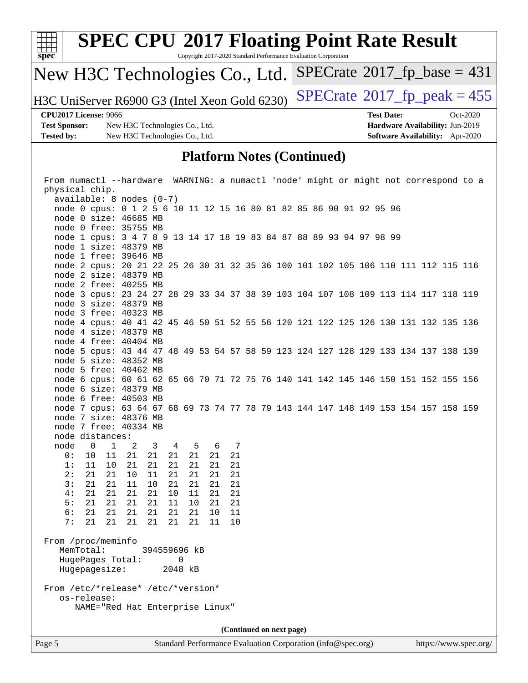

 available: 8 nodes (0-7) node 0 cpus: 0 1 2 5 6 10 11 12 15 16 80 81 82 85 86 90 91 92 95 96 node 0 size: 46685 MB node 0 free: 35755 MB node 1 cpus: 3 4 7 8 9 13 14 17 18 19 83 84 87 88 89 93 94 97 98 99 node 1 size: 48379 MB node 1 free: 39646 MB node 2 cpus: 20 21 22 25 26 30 31 32 35 36 100 101 102 105 106 110 111 112 115 116 node 2 size: 48379 MB node 2 free: 40255 MB node 3 cpus: 23 24 27 28 29 33 34 37 38 39 103 104 107 108 109 113 114 117 118 119 node 3 size: 48379 MB node 3 free: 40323 MB node 4 cpus: 40 41 42 45 46 50 51 52 55 56 120 121 122 125 126 130 131 132 135 136 node 4 size: 48379 MB node 4 free: 40404 MB node 5 cpus: 43 44 47 48 49 53 54 57 58 59 123 124 127 128 129 133 134 137 138 139 node 5 size: 48352 MB node 5 free: 40462 MB node 6 cpus: 60 61 62 65 66 70 71 72 75 76 140 141 142 145 146 150 151 152 155 156 node 6 size: 48379 MB node 6 free: 40503 MB node 7 cpus: 63 64 67 68 69 73 74 77 78 79 143 144 147 148 149 153 154 157 158 159 node 7 size: 48376 MB node 7 free: 40334 MB node distances: node 0 1 2 3 4 5 6 7 0: 10 11 21 21 21 21 21 21 1: 11 10 21 21 21 21 21 21 2: 21 21 10 11 21 21 21 21 3: 21 21 11 10 21 21 21 21 4: 21 21 21 21 10 11 21 21 5: 21 21 21 21 11 10 21 21 6: 21 21 21 21 21 21 10 11 7: 21 21 21 21 21 21 11 10 From /proc/meminfo MemTotal: 394559696 kB HugePages\_Total: 0 Hugepagesize: 2048 kB From /etc/\*release\* /etc/\*version\* os-release:

**(Continued on next page)**

NAME="Red Hat Enterprise Linux"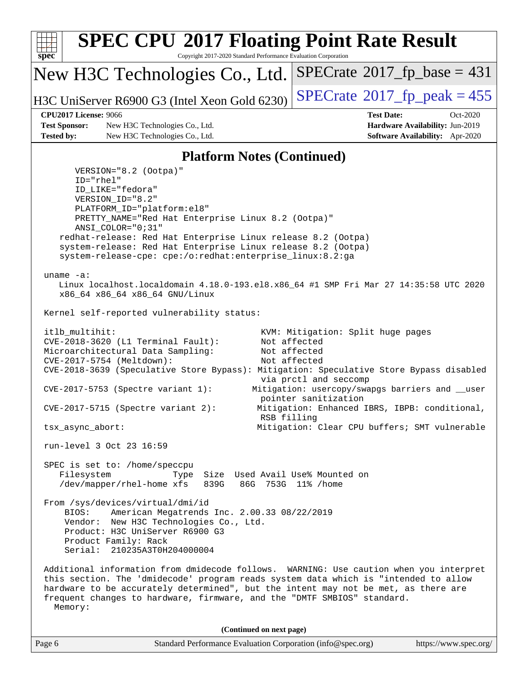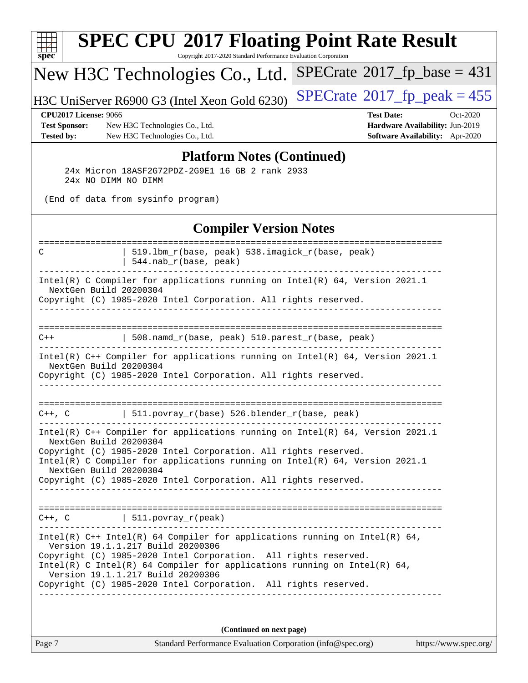| $spec^*$                                                                  | <b>SPEC CPU®2017 Floating Point Rate Result</b><br>Copyright 2017-2020 Standard Performance Evaluation Corporation                                                                                                                                                                                                                                                       |                                                                                                     |
|---------------------------------------------------------------------------|--------------------------------------------------------------------------------------------------------------------------------------------------------------------------------------------------------------------------------------------------------------------------------------------------------------------------------------------------------------------------|-----------------------------------------------------------------------------------------------------|
|                                                                           | New H3C Technologies Co., Ltd.                                                                                                                                                                                                                                                                                                                                           | $SPECrate^{\circ}2017$ fp base = 431                                                                |
|                                                                           | H3C UniServer R6900 G3 (Intel Xeon Gold 6230)                                                                                                                                                                                                                                                                                                                            | $SPECTate@2017_fp\_peak = 455$                                                                      |
| <b>CPU2017 License: 9066</b><br><b>Test Sponsor:</b><br><b>Tested by:</b> | New H3C Technologies Co., Ltd.<br>New H3C Technologies Co., Ltd.                                                                                                                                                                                                                                                                                                         | <b>Test Date:</b><br>Oct-2020<br>Hardware Availability: Jun-2019<br>Software Availability: Apr-2020 |
|                                                                           | <b>Platform Notes (Continued)</b><br>24x Micron 18ASF2G72PDZ-2G9E1 16 GB 2 rank 2933<br>24x NO DIMM NO DIMM<br>(End of data from sysinfo program)                                                                                                                                                                                                                        |                                                                                                     |
|                                                                           | <b>Compiler Version Notes</b>                                                                                                                                                                                                                                                                                                                                            |                                                                                                     |
| C                                                                         | 519.1bm_r(base, peak) 538.imagick_r(base, peak)<br>544.nab_r(base, peak)                                                                                                                                                                                                                                                                                                 |                                                                                                     |
|                                                                           | Intel(R) C Compiler for applications running on Intel(R) 64, Version 2021.1<br>NextGen Build 20200304<br>Copyright (C) 1985-2020 Intel Corporation. All rights reserved.                                                                                                                                                                                                 |                                                                                                     |
| $C++$                                                                     | 508.namd_r(base, peak) 510.parest_r(base, peak)                                                                                                                                                                                                                                                                                                                          |                                                                                                     |
|                                                                           | Intel(R) C++ Compiler for applications running on Intel(R) 64, Version 2021.1<br>NextGen Build 20200304<br>Copyright (C) 1985-2020 Intel Corporation. All rights reserved.                                                                                                                                                                                               |                                                                                                     |
| $C++$ , $C$                                                               | 511.povray_r(base) 526.blender_r(base, peak)                                                                                                                                                                                                                                                                                                                             |                                                                                                     |
|                                                                           | Intel(R) $C++$ Compiler for applications running on Intel(R) 64, Version 2021.1<br>NextGen Build 20200304<br>Copyright (C) 1985-2020 Intel Corporation. All rights reserved.<br>Intel(R) C Compiler for applications running on Intel(R) $64$ , Version 2021.1<br>NextGen Build 20200304<br>Copyright (C) 1985-2020 Intel Corporation. All rights reserved.              |                                                                                                     |
|                                                                           | $C++$ , C $\qquad \qquad \vert$ 511.povray_r(peak)                                                                                                                                                                                                                                                                                                                       |                                                                                                     |
|                                                                           | Intel(R) $C++$ Intel(R) 64 Compiler for applications running on Intel(R) 64,<br>Version 19.1.1.217 Build 20200306<br>Copyright (C) 1985-2020 Intel Corporation. All rights reserved.<br>Intel(R) C Intel(R) 64 Compiler for applications running on Intel(R) 64,<br>Version 19.1.1.217 Build 20200306<br>Copyright (C) 1985-2020 Intel Corporation. All rights reserved. |                                                                                                     |
|                                                                           | (Continued on next page)                                                                                                                                                                                                                                                                                                                                                 |                                                                                                     |

Page 7 Standard Performance Evaluation Corporation [\(info@spec.org\)](mailto:info@spec.org) <https://www.spec.org/>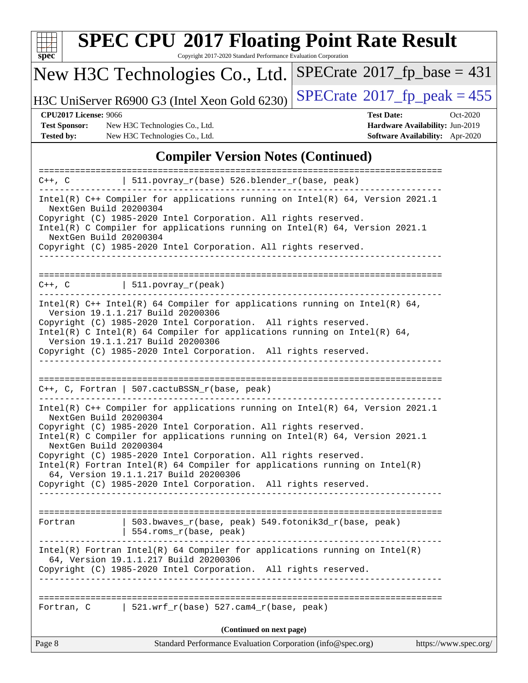

# **[SPEC CPU](http://www.spec.org/auto/cpu2017/Docs/result-fields.html#SPECCPU2017FloatingPointRateResult)[2017 Floating Point Rate Result](http://www.spec.org/auto/cpu2017/Docs/result-fields.html#SPECCPU2017FloatingPointRateResult)**

Copyright 2017-2020 Standard Performance Evaluation Corporation

## New H3C Technologies Co., Ltd.

H3C UniServer R6900 G3 (Intel Xeon Gold 6230) [SPECrate](http://www.spec.org/auto/cpu2017/Docs/result-fields.html#SPECrate2017fppeak)®2017\_fp\_peak =  $455$ 

 $SPECTate@2017_fp\_base = 431$ 

**[Test Sponsor:](http://www.spec.org/auto/cpu2017/Docs/result-fields.html#TestSponsor)** New H3C Technologies Co., Ltd. **[Hardware Availability:](http://www.spec.org/auto/cpu2017/Docs/result-fields.html#HardwareAvailability)** Jun-2019 **[Tested by:](http://www.spec.org/auto/cpu2017/Docs/result-fields.html#Testedby)** New H3C Technologies Co., Ltd. **[Software Availability:](http://www.spec.org/auto/cpu2017/Docs/result-fields.html#SoftwareAvailability)** Apr-2020

**[CPU2017 License:](http://www.spec.org/auto/cpu2017/Docs/result-fields.html#CPU2017License)** 9066 **[Test Date:](http://www.spec.org/auto/cpu2017/Docs/result-fields.html#TestDate)** Oct-2020

#### **[Compiler Version Notes \(Continued\)](http://www.spec.org/auto/cpu2017/Docs/result-fields.html#CompilerVersionNotes)**

| $C++$ , $C$                                      | 511.povray_r(base) 526.blender_r(base, peak)                                                                                                                                                                                                                                                                                                                                                                                                                                                        |                       |
|--------------------------------------------------|-----------------------------------------------------------------------------------------------------------------------------------------------------------------------------------------------------------------------------------------------------------------------------------------------------------------------------------------------------------------------------------------------------------------------------------------------------------------------------------------------------|-----------------------|
| NextGen Build 20200304<br>NextGen Build 20200304 | Intel(R) C++ Compiler for applications running on Intel(R) 64, Version 2021.1<br>Copyright (C) 1985-2020 Intel Corporation. All rights reserved.<br>Intel(R) C Compiler for applications running on $Intel(R) 64$ , Version 2021.1<br>Copyright (C) 1985-2020 Intel Corporation. All rights reserved.                                                                                                                                                                                               |                       |
|                                                  | $C++$ , $C$   511.povray_r(peak)                                                                                                                                                                                                                                                                                                                                                                                                                                                                    |                       |
|                                                  | Intel(R) $C++$ Intel(R) 64 Compiler for applications running on Intel(R) 64,<br>Version 19.1.1.217 Build 20200306<br>Copyright (C) 1985-2020 Intel Corporation. All rights reserved.<br>Intel(R) C Intel(R) 64 Compiler for applications running on Intel(R) 64,<br>Version 19.1.1.217 Build 20200306<br>Copyright (C) 1985-2020 Intel Corporation. All rights reserved.                                                                                                                            |                       |
|                                                  | $C++$ , C, Fortran   507.cactuBSSN_r(base, peak)                                                                                                                                                                                                                                                                                                                                                                                                                                                    |                       |
| NextGen Build 20200304<br>NextGen Build 20200304 | Intel(R) $C++$ Compiler for applications running on Intel(R) 64, Version 2021.1<br>Copyright (C) 1985-2020 Intel Corporation. All rights reserved.<br>Intel(R) C Compiler for applications running on $Intel(R) 64$ , Version 2021.1<br>Copyright (C) 1985-2020 Intel Corporation. All rights reserved.<br>$Intel(R)$ Fortran Intel(R) 64 Compiler for applications running on Intel(R)<br>64, Version 19.1.1.217 Build 20200306<br>Copyright (C) 1985-2020 Intel Corporation. All rights reserved. |                       |
| Fortran                                          | 503.bwaves_r(base, peak) 549.fotonik3d_r(base, peak)<br>  554.roms_r(base, peak)                                                                                                                                                                                                                                                                                                                                                                                                                    |                       |
|                                                  | $Intel(R)$ Fortran Intel(R) 64 Compiler for applications running on $Intel(R)$<br>64, Version 19.1.1.217 Build 20200306<br>Copyright (C) 1985-2020 Intel Corporation. All rights reserved.<br>______________                                                                                                                                                                                                                                                                                        |                       |
|                                                  | Fortran, C 521.wrf_r(base) 527.cam4_r(base, peak)                                                                                                                                                                                                                                                                                                                                                                                                                                                   |                       |
|                                                  | (Continued on next page)                                                                                                                                                                                                                                                                                                                                                                                                                                                                            |                       |
| Page 8                                           | Standard Performance Evaluation Corporation (info@spec.org)                                                                                                                                                                                                                                                                                                                                                                                                                                         | https://www.spec.org/ |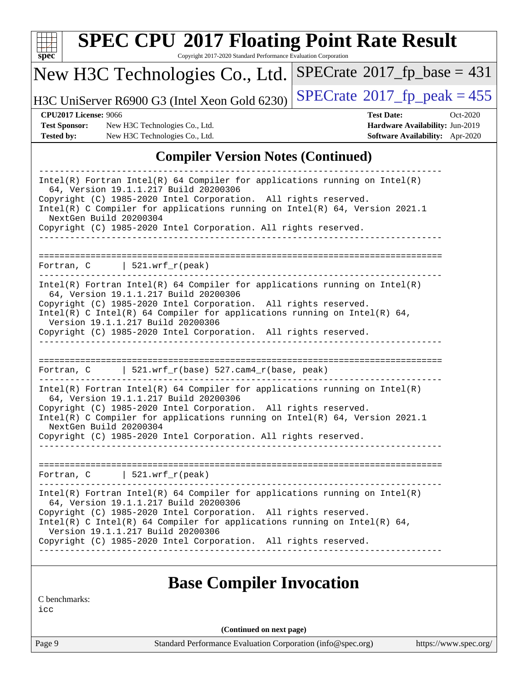|                                           | New H3C Technologies Co., Ltd.                                                                                                                    | $SPECrate^{\circ}2017$ fp base = 431                                      |
|-------------------------------------------|---------------------------------------------------------------------------------------------------------------------------------------------------|---------------------------------------------------------------------------|
|                                           | H3C UniServer R6900 G3 (Intel Xeon Gold 6230)                                                                                                     | $SPECrate^{\circledcirc}2017$ fp peak = 455                               |
| <b>CPU2017 License: 9066</b>              |                                                                                                                                                   | <b>Test Date:</b><br>$Oct-2020$                                           |
| <b>Test Sponsor:</b><br><b>Tested by:</b> | New H3C Technologies Co., Ltd.<br>New H3C Technologies Co., Ltd.                                                                                  | Hardware Availability: Jun-2019<br><b>Software Availability:</b> Apr-2020 |
|                                           | Copyright (C) 1985-2020 Intel Corporation. All rights reserved.<br>Intel(R) C Compiler for applications running on Intel(R) $64$ , Version 2021.1 |                                                                           |
|                                           |                                                                                                                                                   |                                                                           |
|                                           | NextGen Build 20200304<br>Copyright (C) 1985-2020 Intel Corporation. All rights reserved.                                                         |                                                                           |
|                                           |                                                                                                                                                   |                                                                           |

Intel(R) C Intel(R) 64 Compiler for applications running on Intel(R)  $64$ , Version 19.1.1.217 Build 20200306 Copyright (C) 1985-2020 Intel Corporation. All rights reserved.

------------------------------------------------------------------------------

============================================================================== Fortran, C | 521.wrf\_r(base) 527.cam4\_r(base, peak) ------------------------------------------------------------------------------

Intel(R) Fortran Intel(R) 64 Compiler for applications running on Intel(R) 64, Version 19.1.1.217 Build 20200306 Copyright (C) 1985-2020 Intel Corporation. All rights reserved. Intel(R) C Compiler for applications running on Intel(R) 64, Version 2021.1

 NextGen Build 20200304 Copyright (C) 1985-2020 Intel Corporation. All rights reserved. ------------------------------------------------------------------------------

============================================================================== Fortran, C | 521.wrf\_r(peak) ------------------------------------------------------------------------------ Intel(R) Fortran Intel(R) 64 Compiler for applications running on Intel(R) 64, Version 19.1.1.217 Build 20200306 Copyright (C) 1985-2020 Intel Corporation. All rights reserved. Intel(R) C Intel(R) 64 Compiler for applications running on Intel(R)  $64$ , Version 19.1.1.217 Build 20200306

#### Copyright (C) 1985-2020 Intel Corporation. All rights reserved. ------------------------------------------------------------------------------

### **[Base Compiler Invocation](http://www.spec.org/auto/cpu2017/Docs/result-fields.html#BaseCompilerInvocation)**

[C benchmarks:](http://www.spec.org/auto/cpu2017/Docs/result-fields.html#Cbenchmarks)

[icc](http://www.spec.org/cpu2017/results/res2020q4/cpu2017-20201027-24330.flags.html#user_CCbase_intel_icc_66fc1ee009f7361af1fbd72ca7dcefbb700085f36577c54f309893dd4ec40d12360134090235512931783d35fd58c0460139e722d5067c5574d8eaf2b3e37e92)

**(Continued on next page)**

Page 9 Standard Performance Evaluation Corporation [\(info@spec.org\)](mailto:info@spec.org) <https://www.spec.org/>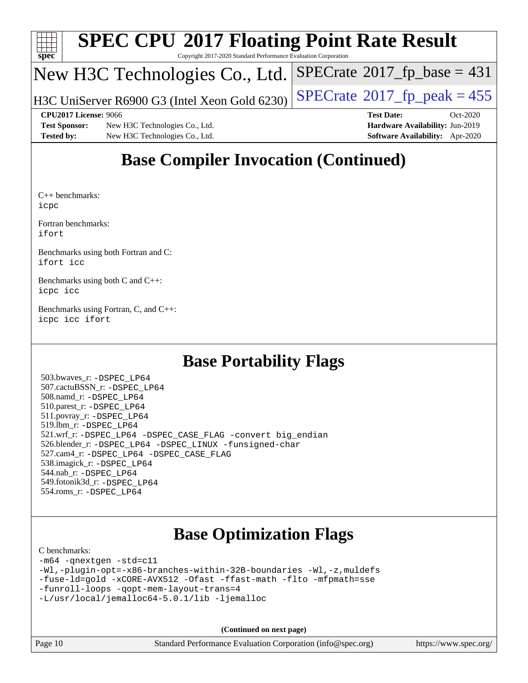

# **[SPEC CPU](http://www.spec.org/auto/cpu2017/Docs/result-fields.html#SPECCPU2017FloatingPointRateResult)[2017 Floating Point Rate Result](http://www.spec.org/auto/cpu2017/Docs/result-fields.html#SPECCPU2017FloatingPointRateResult)**

Copyright 2017-2020 Standard Performance Evaluation Corporation

### New H3C Technologies Co., Ltd.

H3C UniServer R6900 G3 (Intel Xeon Gold 6230)  $\vert$  [SPECrate](http://www.spec.org/auto/cpu2017/Docs/result-fields.html#SPECrate2017fppeak)®[2017\\_fp\\_peak = 4](http://www.spec.org/auto/cpu2017/Docs/result-fields.html#SPECrate2017fppeak)55

 $SPECTate@2017_fp\_base = 431$ 

**[Test Sponsor:](http://www.spec.org/auto/cpu2017/Docs/result-fields.html#TestSponsor)** New H3C Technologies Co., Ltd. **[Hardware Availability:](http://www.spec.org/auto/cpu2017/Docs/result-fields.html#HardwareAvailability)** Jun-2019 **[Tested by:](http://www.spec.org/auto/cpu2017/Docs/result-fields.html#Testedby)** New H3C Technologies Co., Ltd. **[Software Availability:](http://www.spec.org/auto/cpu2017/Docs/result-fields.html#SoftwareAvailability)** Apr-2020

**[CPU2017 License:](http://www.spec.org/auto/cpu2017/Docs/result-fields.html#CPU2017License)** 9066 **[Test Date:](http://www.spec.org/auto/cpu2017/Docs/result-fields.html#TestDate)** Oct-2020

# **[Base Compiler Invocation \(Continued\)](http://www.spec.org/auto/cpu2017/Docs/result-fields.html#BaseCompilerInvocation)**

[C++ benchmarks](http://www.spec.org/auto/cpu2017/Docs/result-fields.html#CXXbenchmarks): [icpc](http://www.spec.org/cpu2017/results/res2020q4/cpu2017-20201027-24330.flags.html#user_CXXbase_intel_icpc_c510b6838c7f56d33e37e94d029a35b4a7bccf4766a728ee175e80a419847e808290a9b78be685c44ab727ea267ec2f070ec5dc83b407c0218cded6866a35d07)

[Fortran benchmarks](http://www.spec.org/auto/cpu2017/Docs/result-fields.html#Fortranbenchmarks): [ifort](http://www.spec.org/cpu2017/results/res2020q4/cpu2017-20201027-24330.flags.html#user_FCbase_intel_ifort_8111460550e3ca792625aed983ce982f94888b8b503583aa7ba2b8303487b4d8a21a13e7191a45c5fd58ff318f48f9492884d4413fa793fd88dd292cad7027ca)

[Benchmarks using both Fortran and C:](http://www.spec.org/auto/cpu2017/Docs/result-fields.html#BenchmarksusingbothFortranandC) [ifort](http://www.spec.org/cpu2017/results/res2020q4/cpu2017-20201027-24330.flags.html#user_CC_FCbase_intel_ifort_8111460550e3ca792625aed983ce982f94888b8b503583aa7ba2b8303487b4d8a21a13e7191a45c5fd58ff318f48f9492884d4413fa793fd88dd292cad7027ca) [icc](http://www.spec.org/cpu2017/results/res2020q4/cpu2017-20201027-24330.flags.html#user_CC_FCbase_intel_icc_66fc1ee009f7361af1fbd72ca7dcefbb700085f36577c54f309893dd4ec40d12360134090235512931783d35fd58c0460139e722d5067c5574d8eaf2b3e37e92)

[Benchmarks using both C and C++](http://www.spec.org/auto/cpu2017/Docs/result-fields.html#BenchmarksusingbothCandCXX): [icpc](http://www.spec.org/cpu2017/results/res2020q4/cpu2017-20201027-24330.flags.html#user_CC_CXXbase_intel_icpc_c510b6838c7f56d33e37e94d029a35b4a7bccf4766a728ee175e80a419847e808290a9b78be685c44ab727ea267ec2f070ec5dc83b407c0218cded6866a35d07) [icc](http://www.spec.org/cpu2017/results/res2020q4/cpu2017-20201027-24330.flags.html#user_CC_CXXbase_intel_icc_66fc1ee009f7361af1fbd72ca7dcefbb700085f36577c54f309893dd4ec40d12360134090235512931783d35fd58c0460139e722d5067c5574d8eaf2b3e37e92)

[Benchmarks using Fortran, C, and C++:](http://www.spec.org/auto/cpu2017/Docs/result-fields.html#BenchmarksusingFortranCandCXX) [icpc](http://www.spec.org/cpu2017/results/res2020q4/cpu2017-20201027-24330.flags.html#user_CC_CXX_FCbase_intel_icpc_c510b6838c7f56d33e37e94d029a35b4a7bccf4766a728ee175e80a419847e808290a9b78be685c44ab727ea267ec2f070ec5dc83b407c0218cded6866a35d07) [icc](http://www.spec.org/cpu2017/results/res2020q4/cpu2017-20201027-24330.flags.html#user_CC_CXX_FCbase_intel_icc_66fc1ee009f7361af1fbd72ca7dcefbb700085f36577c54f309893dd4ec40d12360134090235512931783d35fd58c0460139e722d5067c5574d8eaf2b3e37e92) [ifort](http://www.spec.org/cpu2017/results/res2020q4/cpu2017-20201027-24330.flags.html#user_CC_CXX_FCbase_intel_ifort_8111460550e3ca792625aed983ce982f94888b8b503583aa7ba2b8303487b4d8a21a13e7191a45c5fd58ff318f48f9492884d4413fa793fd88dd292cad7027ca)

## **[Base Portability Flags](http://www.spec.org/auto/cpu2017/Docs/result-fields.html#BasePortabilityFlags)**

 503.bwaves\_r: [-DSPEC\\_LP64](http://www.spec.org/cpu2017/results/res2020q4/cpu2017-20201027-24330.flags.html#suite_basePORTABILITY503_bwaves_r_DSPEC_LP64) 507.cactuBSSN\_r: [-DSPEC\\_LP64](http://www.spec.org/cpu2017/results/res2020q4/cpu2017-20201027-24330.flags.html#suite_basePORTABILITY507_cactuBSSN_r_DSPEC_LP64) 508.namd\_r: [-DSPEC\\_LP64](http://www.spec.org/cpu2017/results/res2020q4/cpu2017-20201027-24330.flags.html#suite_basePORTABILITY508_namd_r_DSPEC_LP64) 510.parest\_r: [-DSPEC\\_LP64](http://www.spec.org/cpu2017/results/res2020q4/cpu2017-20201027-24330.flags.html#suite_basePORTABILITY510_parest_r_DSPEC_LP64) 511.povray\_r: [-DSPEC\\_LP64](http://www.spec.org/cpu2017/results/res2020q4/cpu2017-20201027-24330.flags.html#suite_basePORTABILITY511_povray_r_DSPEC_LP64) 519.lbm\_r: [-DSPEC\\_LP64](http://www.spec.org/cpu2017/results/res2020q4/cpu2017-20201027-24330.flags.html#suite_basePORTABILITY519_lbm_r_DSPEC_LP64) 521.wrf\_r: [-DSPEC\\_LP64](http://www.spec.org/cpu2017/results/res2020q4/cpu2017-20201027-24330.flags.html#suite_basePORTABILITY521_wrf_r_DSPEC_LP64) [-DSPEC\\_CASE\\_FLAG](http://www.spec.org/cpu2017/results/res2020q4/cpu2017-20201027-24330.flags.html#b521.wrf_r_baseCPORTABILITY_DSPEC_CASE_FLAG) [-convert big\\_endian](http://www.spec.org/cpu2017/results/res2020q4/cpu2017-20201027-24330.flags.html#user_baseFPORTABILITY521_wrf_r_convert_big_endian_c3194028bc08c63ac5d04de18c48ce6d347e4e562e8892b8bdbdc0214820426deb8554edfa529a3fb25a586e65a3d812c835984020483e7e73212c4d31a38223) 526.blender\_r: [-DSPEC\\_LP64](http://www.spec.org/cpu2017/results/res2020q4/cpu2017-20201027-24330.flags.html#suite_basePORTABILITY526_blender_r_DSPEC_LP64) [-DSPEC\\_LINUX](http://www.spec.org/cpu2017/results/res2020q4/cpu2017-20201027-24330.flags.html#b526.blender_r_baseCPORTABILITY_DSPEC_LINUX) [-funsigned-char](http://www.spec.org/cpu2017/results/res2020q4/cpu2017-20201027-24330.flags.html#user_baseCPORTABILITY526_blender_r_force_uchar_40c60f00ab013830e2dd6774aeded3ff59883ba5a1fc5fc14077f794d777847726e2a5858cbc7672e36e1b067e7e5c1d9a74f7176df07886a243d7cc18edfe67) 527.cam4\_r: [-DSPEC\\_LP64](http://www.spec.org/cpu2017/results/res2020q4/cpu2017-20201027-24330.flags.html#suite_basePORTABILITY527_cam4_r_DSPEC_LP64) [-DSPEC\\_CASE\\_FLAG](http://www.spec.org/cpu2017/results/res2020q4/cpu2017-20201027-24330.flags.html#b527.cam4_r_baseCPORTABILITY_DSPEC_CASE_FLAG) 538.imagick\_r: [-DSPEC\\_LP64](http://www.spec.org/cpu2017/results/res2020q4/cpu2017-20201027-24330.flags.html#suite_basePORTABILITY538_imagick_r_DSPEC_LP64) 544.nab\_r: [-DSPEC\\_LP64](http://www.spec.org/cpu2017/results/res2020q4/cpu2017-20201027-24330.flags.html#suite_basePORTABILITY544_nab_r_DSPEC_LP64) 549.fotonik3d\_r: [-DSPEC\\_LP64](http://www.spec.org/cpu2017/results/res2020q4/cpu2017-20201027-24330.flags.html#suite_basePORTABILITY549_fotonik3d_r_DSPEC_LP64) 554.roms\_r: [-DSPEC\\_LP64](http://www.spec.org/cpu2017/results/res2020q4/cpu2017-20201027-24330.flags.html#suite_basePORTABILITY554_roms_r_DSPEC_LP64)

## **[Base Optimization Flags](http://www.spec.org/auto/cpu2017/Docs/result-fields.html#BaseOptimizationFlags)**

#### [C benchmarks](http://www.spec.org/auto/cpu2017/Docs/result-fields.html#Cbenchmarks):

```
-m64 -qnextgen -std=c11
-Wl,-plugin-opt=-x86-branches-within-32B-boundaries -Wl,-z,muldefs
-fuse-ld=gold -xCORE-AVX512 -Ofast -ffast-math -flto -mfpmath=sse
-funroll-loops -qopt-mem-layout-trans=4
-L/usr/local/jemalloc64-5.0.1/lib -ljemalloc
```
**(Continued on next page)**

| l Page $10$ | <b>Standard Performance Evaluation Corporation</b> ( |
|-------------|------------------------------------------------------|
|             |                                                      |

info@spec.org) <https://www.spec.org/>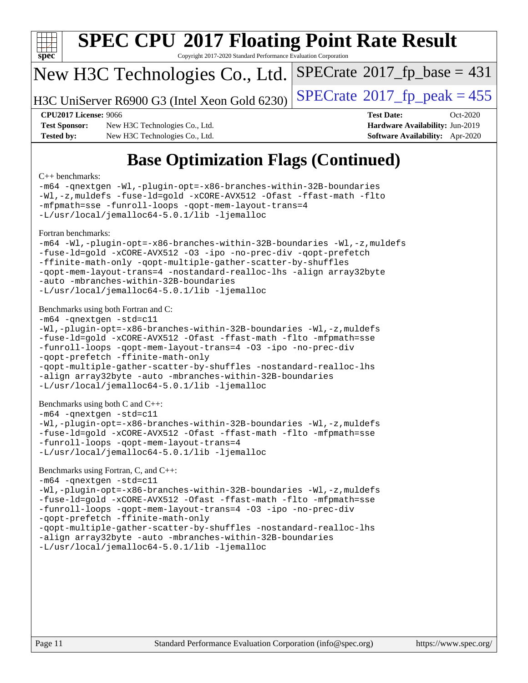

# **[SPEC CPU](http://www.spec.org/auto/cpu2017/Docs/result-fields.html#SPECCPU2017FloatingPointRateResult)[2017 Floating Point Rate Result](http://www.spec.org/auto/cpu2017/Docs/result-fields.html#SPECCPU2017FloatingPointRateResult)**

Copyright 2017-2020 Standard Performance Evaluation Corporation

#### New H3C Technologies Co., Ltd.

H3C UniServer R6900 G3 (Intel Xeon Gold 6230) [SPECrate](http://www.spec.org/auto/cpu2017/Docs/result-fields.html#SPECrate2017fppeak)®  $2017$  fp peak = 455

 $SPECTate@2017_fp\_base = 431$ 

**[Test Sponsor:](http://www.spec.org/auto/cpu2017/Docs/result-fields.html#TestSponsor)** New H3C Technologies Co., Ltd. **[Hardware Availability:](http://www.spec.org/auto/cpu2017/Docs/result-fields.html#HardwareAvailability)** Jun-2019 **[Tested by:](http://www.spec.org/auto/cpu2017/Docs/result-fields.html#Testedby)** New H3C Technologies Co., Ltd. **[Software Availability:](http://www.spec.org/auto/cpu2017/Docs/result-fields.html#SoftwareAvailability)** Apr-2020

**[CPU2017 License:](http://www.spec.org/auto/cpu2017/Docs/result-fields.html#CPU2017License)** 9066 **[Test Date:](http://www.spec.org/auto/cpu2017/Docs/result-fields.html#TestDate)** Oct-2020

# **[Base Optimization Flags \(Continued\)](http://www.spec.org/auto/cpu2017/Docs/result-fields.html#BaseOptimizationFlags)**

#### [C++ benchmarks:](http://www.spec.org/auto/cpu2017/Docs/result-fields.html#CXXbenchmarks)

[-m64](http://www.spec.org/cpu2017/results/res2020q4/cpu2017-20201027-24330.flags.html#user_CXXbase_m64-icc) [-qnextgen](http://www.spec.org/cpu2017/results/res2020q4/cpu2017-20201027-24330.flags.html#user_CXXbase_f-qnextgen) [-Wl,-plugin-opt=-x86-branches-within-32B-boundaries](http://www.spec.org/cpu2017/results/res2020q4/cpu2017-20201027-24330.flags.html#user_CXXbase_f-x86-branches-within-32B-boundaries_0098b4e4317ae60947b7b728078a624952a08ac37a3c797dfb4ffeb399e0c61a9dd0f2f44ce917e9361fb9076ccb15e7824594512dd315205382d84209e912f3) [-Wl,-z,muldefs](http://www.spec.org/cpu2017/results/res2020q4/cpu2017-20201027-24330.flags.html#user_CXXbase_link_force_multiple1_b4cbdb97b34bdee9ceefcfe54f4c8ea74255f0b02a4b23e853cdb0e18eb4525ac79b5a88067c842dd0ee6996c24547a27a4b99331201badda8798ef8a743f577) [-fuse-ld=gold](http://www.spec.org/cpu2017/results/res2020q4/cpu2017-20201027-24330.flags.html#user_CXXbase_f-fuse-ld_920b3586e2b8c6e0748b9c84fa9b744736ba725a32cab14ad8f3d4ad28eecb2f59d1144823d2e17006539a88734fe1fc08fc3035f7676166309105a78aaabc32) [-xCORE-AVX512](http://www.spec.org/cpu2017/results/res2020q4/cpu2017-20201027-24330.flags.html#user_CXXbase_f-xCORE-AVX512) [-Ofast](http://www.spec.org/cpu2017/results/res2020q4/cpu2017-20201027-24330.flags.html#user_CXXbase_f-Ofast) [-ffast-math](http://www.spec.org/cpu2017/results/res2020q4/cpu2017-20201027-24330.flags.html#user_CXXbase_f-ffast-math) [-flto](http://www.spec.org/cpu2017/results/res2020q4/cpu2017-20201027-24330.flags.html#user_CXXbase_f-flto) [-mfpmath=sse](http://www.spec.org/cpu2017/results/res2020q4/cpu2017-20201027-24330.flags.html#user_CXXbase_f-mfpmath_70eb8fac26bde974f8ab713bc9086c5621c0b8d2f6c86f38af0bd7062540daf19db5f3a066d8c6684be05d84c9b6322eb3b5be6619d967835195b93d6c02afa1) [-funroll-loops](http://www.spec.org/cpu2017/results/res2020q4/cpu2017-20201027-24330.flags.html#user_CXXbase_f-funroll-loops) [-qopt-mem-layout-trans=4](http://www.spec.org/cpu2017/results/res2020q4/cpu2017-20201027-24330.flags.html#user_CXXbase_f-qopt-mem-layout-trans_fa39e755916c150a61361b7846f310bcdf6f04e385ef281cadf3647acec3f0ae266d1a1d22d972a7087a248fd4e6ca390a3634700869573d231a252c784941a8) [-L/usr/local/jemalloc64-5.0.1/lib](http://www.spec.org/cpu2017/results/res2020q4/cpu2017-20201027-24330.flags.html#user_CXXbase_jemalloc_link_path64_1_cc289568b1a6c0fd3b62c91b824c27fcb5af5e8098e6ad028160d21144ef1b8aef3170d2acf0bee98a8da324cfe4f67d0a3d0c4cc4673d993d694dc2a0df248b) [-ljemalloc](http://www.spec.org/cpu2017/results/res2020q4/cpu2017-20201027-24330.flags.html#user_CXXbase_jemalloc_link_lib_d1249b907c500fa1c0672f44f562e3d0f79738ae9e3c4a9c376d49f265a04b9c99b167ecedbf6711b3085be911c67ff61f150a17b3472be731631ba4d0471706) [Fortran benchmarks](http://www.spec.org/auto/cpu2017/Docs/result-fields.html#Fortranbenchmarks): [-m64](http://www.spec.org/cpu2017/results/res2020q4/cpu2017-20201027-24330.flags.html#user_FCbase_m64-icc) [-Wl,-plugin-opt=-x86-branches-within-32B-boundaries](http://www.spec.org/cpu2017/results/res2020q4/cpu2017-20201027-24330.flags.html#user_FCbase_f-x86-branches-within-32B-boundaries_0098b4e4317ae60947b7b728078a624952a08ac37a3c797dfb4ffeb399e0c61a9dd0f2f44ce917e9361fb9076ccb15e7824594512dd315205382d84209e912f3) [-Wl,-z,muldefs](http://www.spec.org/cpu2017/results/res2020q4/cpu2017-20201027-24330.flags.html#user_FCbase_link_force_multiple1_b4cbdb97b34bdee9ceefcfe54f4c8ea74255f0b02a4b23e853cdb0e18eb4525ac79b5a88067c842dd0ee6996c24547a27a4b99331201badda8798ef8a743f577) [-fuse-ld=gold](http://www.spec.org/cpu2017/results/res2020q4/cpu2017-20201027-24330.flags.html#user_FCbase_f-fuse-ld_920b3586e2b8c6e0748b9c84fa9b744736ba725a32cab14ad8f3d4ad28eecb2f59d1144823d2e17006539a88734fe1fc08fc3035f7676166309105a78aaabc32) [-xCORE-AVX512](http://www.spec.org/cpu2017/results/res2020q4/cpu2017-20201027-24330.flags.html#user_FCbase_f-xCORE-AVX512) [-O3](http://www.spec.org/cpu2017/results/res2020q4/cpu2017-20201027-24330.flags.html#user_FCbase_f-O3) [-ipo](http://www.spec.org/cpu2017/results/res2020q4/cpu2017-20201027-24330.flags.html#user_FCbase_f-ipo) [-no-prec-div](http://www.spec.org/cpu2017/results/res2020q4/cpu2017-20201027-24330.flags.html#user_FCbase_f-no-prec-div) [-qopt-prefetch](http://www.spec.org/cpu2017/results/res2020q4/cpu2017-20201027-24330.flags.html#user_FCbase_f-qopt-prefetch) [-ffinite-math-only](http://www.spec.org/cpu2017/results/res2020q4/cpu2017-20201027-24330.flags.html#user_FCbase_f_finite_math_only_cb91587bd2077682c4b38af759c288ed7c732db004271a9512da14a4f8007909a5f1427ecbf1a0fb78ff2a814402c6114ac565ca162485bbcae155b5e4258871) [-qopt-multiple-gather-scatter-by-shuffles](http://www.spec.org/cpu2017/results/res2020q4/cpu2017-20201027-24330.flags.html#user_FCbase_f-qopt-multiple-gather-scatter-by-shuffles) [-qopt-mem-layout-trans=4](http://www.spec.org/cpu2017/results/res2020q4/cpu2017-20201027-24330.flags.html#user_FCbase_f-qopt-mem-layout-trans_fa39e755916c150a61361b7846f310bcdf6f04e385ef281cadf3647acec3f0ae266d1a1d22d972a7087a248fd4e6ca390a3634700869573d231a252c784941a8) [-nostandard-realloc-lhs](http://www.spec.org/cpu2017/results/res2020q4/cpu2017-20201027-24330.flags.html#user_FCbase_f_2003_std_realloc_82b4557e90729c0f113870c07e44d33d6f5a304b4f63d4c15d2d0f1fab99f5daaed73bdb9275d9ae411527f28b936061aa8b9c8f2d63842963b95c9dd6426b8a) [-align array32byte](http://www.spec.org/cpu2017/results/res2020q4/cpu2017-20201027-24330.flags.html#user_FCbase_align_array32byte_b982fe038af199962ba9a80c053b8342c548c85b40b8e86eb3cc33dee0d7986a4af373ac2d51c3f7cf710a18d62fdce2948f201cd044323541f22fc0fffc51b6) [-auto](http://www.spec.org/cpu2017/results/res2020q4/cpu2017-20201027-24330.flags.html#user_FCbase_f-auto) [-mbranches-within-32B-boundaries](http://www.spec.org/cpu2017/results/res2020q4/cpu2017-20201027-24330.flags.html#user_FCbase_f-mbranches-within-32B-boundaries) [-L/usr/local/jemalloc64-5.0.1/lib](http://www.spec.org/cpu2017/results/res2020q4/cpu2017-20201027-24330.flags.html#user_FCbase_jemalloc_link_path64_1_cc289568b1a6c0fd3b62c91b824c27fcb5af5e8098e6ad028160d21144ef1b8aef3170d2acf0bee98a8da324cfe4f67d0a3d0c4cc4673d993d694dc2a0df248b) [-ljemalloc](http://www.spec.org/cpu2017/results/res2020q4/cpu2017-20201027-24330.flags.html#user_FCbase_jemalloc_link_lib_d1249b907c500fa1c0672f44f562e3d0f79738ae9e3c4a9c376d49f265a04b9c99b167ecedbf6711b3085be911c67ff61f150a17b3472be731631ba4d0471706) [Benchmarks using both Fortran and C](http://www.spec.org/auto/cpu2017/Docs/result-fields.html#BenchmarksusingbothFortranandC): [-m64](http://www.spec.org/cpu2017/results/res2020q4/cpu2017-20201027-24330.flags.html#user_CC_FCbase_m64-icc) [-qnextgen](http://www.spec.org/cpu2017/results/res2020q4/cpu2017-20201027-24330.flags.html#user_CC_FCbase_f-qnextgen) [-std=c11](http://www.spec.org/cpu2017/results/res2020q4/cpu2017-20201027-24330.flags.html#user_CC_FCbase_std-icc-std_0e1c27790398a4642dfca32ffe6c27b5796f9c2d2676156f2e42c9c44eaad0c049b1cdb667a270c34d979996257aeb8fc440bfb01818dbc9357bd9d174cb8524) [-Wl,-plugin-opt=-x86-branches-within-32B-boundaries](http://www.spec.org/cpu2017/results/res2020q4/cpu2017-20201027-24330.flags.html#user_CC_FCbase_f-x86-branches-within-32B-boundaries_0098b4e4317ae60947b7b728078a624952a08ac37a3c797dfb4ffeb399e0c61a9dd0f2f44ce917e9361fb9076ccb15e7824594512dd315205382d84209e912f3) [-Wl,-z,muldefs](http://www.spec.org/cpu2017/results/res2020q4/cpu2017-20201027-24330.flags.html#user_CC_FCbase_link_force_multiple1_b4cbdb97b34bdee9ceefcfe54f4c8ea74255f0b02a4b23e853cdb0e18eb4525ac79b5a88067c842dd0ee6996c24547a27a4b99331201badda8798ef8a743f577) [-fuse-ld=gold](http://www.spec.org/cpu2017/results/res2020q4/cpu2017-20201027-24330.flags.html#user_CC_FCbase_f-fuse-ld_920b3586e2b8c6e0748b9c84fa9b744736ba725a32cab14ad8f3d4ad28eecb2f59d1144823d2e17006539a88734fe1fc08fc3035f7676166309105a78aaabc32) [-xCORE-AVX512](http://www.spec.org/cpu2017/results/res2020q4/cpu2017-20201027-24330.flags.html#user_CC_FCbase_f-xCORE-AVX512) [-Ofast](http://www.spec.org/cpu2017/results/res2020q4/cpu2017-20201027-24330.flags.html#user_CC_FCbase_f-Ofast) [-ffast-math](http://www.spec.org/cpu2017/results/res2020q4/cpu2017-20201027-24330.flags.html#user_CC_FCbase_f-ffast-math) [-flto](http://www.spec.org/cpu2017/results/res2020q4/cpu2017-20201027-24330.flags.html#user_CC_FCbase_f-flto) [-mfpmath=sse](http://www.spec.org/cpu2017/results/res2020q4/cpu2017-20201027-24330.flags.html#user_CC_FCbase_f-mfpmath_70eb8fac26bde974f8ab713bc9086c5621c0b8d2f6c86f38af0bd7062540daf19db5f3a066d8c6684be05d84c9b6322eb3b5be6619d967835195b93d6c02afa1) [-funroll-loops](http://www.spec.org/cpu2017/results/res2020q4/cpu2017-20201027-24330.flags.html#user_CC_FCbase_f-funroll-loops) [-qopt-mem-layout-trans=4](http://www.spec.org/cpu2017/results/res2020q4/cpu2017-20201027-24330.flags.html#user_CC_FCbase_f-qopt-mem-layout-trans_fa39e755916c150a61361b7846f310bcdf6f04e385ef281cadf3647acec3f0ae266d1a1d22d972a7087a248fd4e6ca390a3634700869573d231a252c784941a8) [-O3](http://www.spec.org/cpu2017/results/res2020q4/cpu2017-20201027-24330.flags.html#user_CC_FCbase_f-O3) [-ipo](http://www.spec.org/cpu2017/results/res2020q4/cpu2017-20201027-24330.flags.html#user_CC_FCbase_f-ipo) [-no-prec-div](http://www.spec.org/cpu2017/results/res2020q4/cpu2017-20201027-24330.flags.html#user_CC_FCbase_f-no-prec-div) [-qopt-prefetch](http://www.spec.org/cpu2017/results/res2020q4/cpu2017-20201027-24330.flags.html#user_CC_FCbase_f-qopt-prefetch) [-ffinite-math-only](http://www.spec.org/cpu2017/results/res2020q4/cpu2017-20201027-24330.flags.html#user_CC_FCbase_f_finite_math_only_cb91587bd2077682c4b38af759c288ed7c732db004271a9512da14a4f8007909a5f1427ecbf1a0fb78ff2a814402c6114ac565ca162485bbcae155b5e4258871) [-qopt-multiple-gather-scatter-by-shuffles](http://www.spec.org/cpu2017/results/res2020q4/cpu2017-20201027-24330.flags.html#user_CC_FCbase_f-qopt-multiple-gather-scatter-by-shuffles) [-nostandard-realloc-lhs](http://www.spec.org/cpu2017/results/res2020q4/cpu2017-20201027-24330.flags.html#user_CC_FCbase_f_2003_std_realloc_82b4557e90729c0f113870c07e44d33d6f5a304b4f63d4c15d2d0f1fab99f5daaed73bdb9275d9ae411527f28b936061aa8b9c8f2d63842963b95c9dd6426b8a) [-align array32byte](http://www.spec.org/cpu2017/results/res2020q4/cpu2017-20201027-24330.flags.html#user_CC_FCbase_align_array32byte_b982fe038af199962ba9a80c053b8342c548c85b40b8e86eb3cc33dee0d7986a4af373ac2d51c3f7cf710a18d62fdce2948f201cd044323541f22fc0fffc51b6) [-auto](http://www.spec.org/cpu2017/results/res2020q4/cpu2017-20201027-24330.flags.html#user_CC_FCbase_f-auto) [-mbranches-within-32B-boundaries](http://www.spec.org/cpu2017/results/res2020q4/cpu2017-20201027-24330.flags.html#user_CC_FCbase_f-mbranches-within-32B-boundaries) [-L/usr/local/jemalloc64-5.0.1/lib](http://www.spec.org/cpu2017/results/res2020q4/cpu2017-20201027-24330.flags.html#user_CC_FCbase_jemalloc_link_path64_1_cc289568b1a6c0fd3b62c91b824c27fcb5af5e8098e6ad028160d21144ef1b8aef3170d2acf0bee98a8da324cfe4f67d0a3d0c4cc4673d993d694dc2a0df248b) [-ljemalloc](http://www.spec.org/cpu2017/results/res2020q4/cpu2017-20201027-24330.flags.html#user_CC_FCbase_jemalloc_link_lib_d1249b907c500fa1c0672f44f562e3d0f79738ae9e3c4a9c376d49f265a04b9c99b167ecedbf6711b3085be911c67ff61f150a17b3472be731631ba4d0471706) [Benchmarks using both C and C++](http://www.spec.org/auto/cpu2017/Docs/result-fields.html#BenchmarksusingbothCandCXX): [-m64](http://www.spec.org/cpu2017/results/res2020q4/cpu2017-20201027-24330.flags.html#user_CC_CXXbase_m64-icc) [-qnextgen](http://www.spec.org/cpu2017/results/res2020q4/cpu2017-20201027-24330.flags.html#user_CC_CXXbase_f-qnextgen) [-std=c11](http://www.spec.org/cpu2017/results/res2020q4/cpu2017-20201027-24330.flags.html#user_CC_CXXbase_std-icc-std_0e1c27790398a4642dfca32ffe6c27b5796f9c2d2676156f2e42c9c44eaad0c049b1cdb667a270c34d979996257aeb8fc440bfb01818dbc9357bd9d174cb8524) [-Wl,-plugin-opt=-x86-branches-within-32B-boundaries](http://www.spec.org/cpu2017/results/res2020q4/cpu2017-20201027-24330.flags.html#user_CC_CXXbase_f-x86-branches-within-32B-boundaries_0098b4e4317ae60947b7b728078a624952a08ac37a3c797dfb4ffeb399e0c61a9dd0f2f44ce917e9361fb9076ccb15e7824594512dd315205382d84209e912f3) [-Wl,-z,muldefs](http://www.spec.org/cpu2017/results/res2020q4/cpu2017-20201027-24330.flags.html#user_CC_CXXbase_link_force_multiple1_b4cbdb97b34bdee9ceefcfe54f4c8ea74255f0b02a4b23e853cdb0e18eb4525ac79b5a88067c842dd0ee6996c24547a27a4b99331201badda8798ef8a743f577) [-fuse-ld=gold](http://www.spec.org/cpu2017/results/res2020q4/cpu2017-20201027-24330.flags.html#user_CC_CXXbase_f-fuse-ld_920b3586e2b8c6e0748b9c84fa9b744736ba725a32cab14ad8f3d4ad28eecb2f59d1144823d2e17006539a88734fe1fc08fc3035f7676166309105a78aaabc32) [-xCORE-AVX512](http://www.spec.org/cpu2017/results/res2020q4/cpu2017-20201027-24330.flags.html#user_CC_CXXbase_f-xCORE-AVX512) [-Ofast](http://www.spec.org/cpu2017/results/res2020q4/cpu2017-20201027-24330.flags.html#user_CC_CXXbase_f-Ofast) [-ffast-math](http://www.spec.org/cpu2017/results/res2020q4/cpu2017-20201027-24330.flags.html#user_CC_CXXbase_f-ffast-math) [-flto](http://www.spec.org/cpu2017/results/res2020q4/cpu2017-20201027-24330.flags.html#user_CC_CXXbase_f-flto) [-mfpmath=sse](http://www.spec.org/cpu2017/results/res2020q4/cpu2017-20201027-24330.flags.html#user_CC_CXXbase_f-mfpmath_70eb8fac26bde974f8ab713bc9086c5621c0b8d2f6c86f38af0bd7062540daf19db5f3a066d8c6684be05d84c9b6322eb3b5be6619d967835195b93d6c02afa1) [-funroll-loops](http://www.spec.org/cpu2017/results/res2020q4/cpu2017-20201027-24330.flags.html#user_CC_CXXbase_f-funroll-loops) [-qopt-mem-layout-trans=4](http://www.spec.org/cpu2017/results/res2020q4/cpu2017-20201027-24330.flags.html#user_CC_CXXbase_f-qopt-mem-layout-trans_fa39e755916c150a61361b7846f310bcdf6f04e385ef281cadf3647acec3f0ae266d1a1d22d972a7087a248fd4e6ca390a3634700869573d231a252c784941a8) [-L/usr/local/jemalloc64-5.0.1/lib](http://www.spec.org/cpu2017/results/res2020q4/cpu2017-20201027-24330.flags.html#user_CC_CXXbase_jemalloc_link_path64_1_cc289568b1a6c0fd3b62c91b824c27fcb5af5e8098e6ad028160d21144ef1b8aef3170d2acf0bee98a8da324cfe4f67d0a3d0c4cc4673d993d694dc2a0df248b) [-ljemalloc](http://www.spec.org/cpu2017/results/res2020q4/cpu2017-20201027-24330.flags.html#user_CC_CXXbase_jemalloc_link_lib_d1249b907c500fa1c0672f44f562e3d0f79738ae9e3c4a9c376d49f265a04b9c99b167ecedbf6711b3085be911c67ff61f150a17b3472be731631ba4d0471706)

#### [Benchmarks using Fortran, C, and C++:](http://www.spec.org/auto/cpu2017/Docs/result-fields.html#BenchmarksusingFortranCandCXX)

```
-m64 -qnextgen -std=c11
-Wl,-plugin-opt=-x86-branches-within-32B-boundaries -Wl,-z,muldefs
-fuse-ld=gold -xCORE-AVX512 -Ofast -ffast-math -flto -mfpmath=sse
-funroll-loops -qopt-mem-layout-trans=4 -O3 -ipo -no-prec-div
-qopt-prefetch -ffinite-math-only
-qopt-multiple-gather-scatter-by-shuffles -nostandard-realloc-lhs
-align array32byte -auto -mbranches-within-32B-boundaries
-L/usr/local/jemalloc64-5.0.1/lib -ljemalloc
```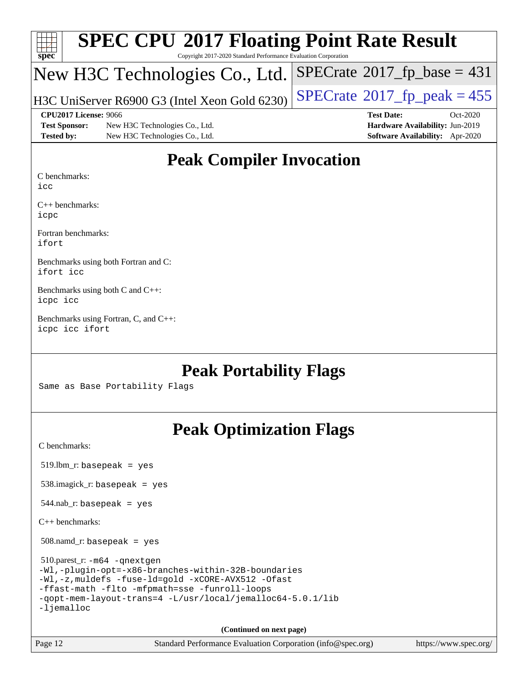| $Spec$ <sup>®</sup>  | <b>SPEC CPU®2017 Floating Point Rate Result</b><br>Copyright 2017-2020 Standard Performance Evaluation Corporation |                                       |  |  |  |  |  |
|----------------------|--------------------------------------------------------------------------------------------------------------------|---------------------------------------|--|--|--|--|--|
|                      | New H3C Technologies Co., Ltd.                                                                                     | $SPECrate^{\circ}2017$ _fp_base = 431 |  |  |  |  |  |
|                      | H3C UniServer R6900 G3 (Intel Xeon Gold 6230)                                                                      | $SPECTate@2017_fp\_peak = 455$        |  |  |  |  |  |
|                      | CPU2017 License: 9066                                                                                              | <b>Test Date:</b><br>$Oct-2020$       |  |  |  |  |  |
| <b>Test Sponsor:</b> | New H3C Technologies Co., Ltd.                                                                                     | Hardware Availability: Jun-2019       |  |  |  |  |  |
| <b>Tested by:</b>    | New H3C Technologies Co., Ltd.                                                                                     | Software Availability: Apr-2020       |  |  |  |  |  |

### **[Peak Compiler Invocation](http://www.spec.org/auto/cpu2017/Docs/result-fields.html#PeakCompilerInvocation)**

[C benchmarks](http://www.spec.org/auto/cpu2017/Docs/result-fields.html#Cbenchmarks):

[icc](http://www.spec.org/cpu2017/results/res2020q4/cpu2017-20201027-24330.flags.html#user_CCpeak_intel_icc_66fc1ee009f7361af1fbd72ca7dcefbb700085f36577c54f309893dd4ec40d12360134090235512931783d35fd58c0460139e722d5067c5574d8eaf2b3e37e92)

[C++ benchmarks](http://www.spec.org/auto/cpu2017/Docs/result-fields.html#CXXbenchmarks): [icpc](http://www.spec.org/cpu2017/results/res2020q4/cpu2017-20201027-24330.flags.html#user_CXXpeak_intel_icpc_c510b6838c7f56d33e37e94d029a35b4a7bccf4766a728ee175e80a419847e808290a9b78be685c44ab727ea267ec2f070ec5dc83b407c0218cded6866a35d07)

[Fortran benchmarks:](http://www.spec.org/auto/cpu2017/Docs/result-fields.html#Fortranbenchmarks) [ifort](http://www.spec.org/cpu2017/results/res2020q4/cpu2017-20201027-24330.flags.html#user_FCpeak_intel_ifort_8111460550e3ca792625aed983ce982f94888b8b503583aa7ba2b8303487b4d8a21a13e7191a45c5fd58ff318f48f9492884d4413fa793fd88dd292cad7027ca)

[Benchmarks using both Fortran and C](http://www.spec.org/auto/cpu2017/Docs/result-fields.html#BenchmarksusingbothFortranandC): [ifort](http://www.spec.org/cpu2017/results/res2020q4/cpu2017-20201027-24330.flags.html#user_CC_FCpeak_intel_ifort_8111460550e3ca792625aed983ce982f94888b8b503583aa7ba2b8303487b4d8a21a13e7191a45c5fd58ff318f48f9492884d4413fa793fd88dd292cad7027ca) [icc](http://www.spec.org/cpu2017/results/res2020q4/cpu2017-20201027-24330.flags.html#user_CC_FCpeak_intel_icc_66fc1ee009f7361af1fbd72ca7dcefbb700085f36577c54f309893dd4ec40d12360134090235512931783d35fd58c0460139e722d5067c5574d8eaf2b3e37e92)

[Benchmarks using both C and C++:](http://www.spec.org/auto/cpu2017/Docs/result-fields.html#BenchmarksusingbothCandCXX) [icpc](http://www.spec.org/cpu2017/results/res2020q4/cpu2017-20201027-24330.flags.html#user_CC_CXXpeak_intel_icpc_c510b6838c7f56d33e37e94d029a35b4a7bccf4766a728ee175e80a419847e808290a9b78be685c44ab727ea267ec2f070ec5dc83b407c0218cded6866a35d07) [icc](http://www.spec.org/cpu2017/results/res2020q4/cpu2017-20201027-24330.flags.html#user_CC_CXXpeak_intel_icc_66fc1ee009f7361af1fbd72ca7dcefbb700085f36577c54f309893dd4ec40d12360134090235512931783d35fd58c0460139e722d5067c5574d8eaf2b3e37e92)

[Benchmarks using Fortran, C, and C++](http://www.spec.org/auto/cpu2017/Docs/result-fields.html#BenchmarksusingFortranCandCXX): [icpc](http://www.spec.org/cpu2017/results/res2020q4/cpu2017-20201027-24330.flags.html#user_CC_CXX_FCpeak_intel_icpc_c510b6838c7f56d33e37e94d029a35b4a7bccf4766a728ee175e80a419847e808290a9b78be685c44ab727ea267ec2f070ec5dc83b407c0218cded6866a35d07) [icc](http://www.spec.org/cpu2017/results/res2020q4/cpu2017-20201027-24330.flags.html#user_CC_CXX_FCpeak_intel_icc_66fc1ee009f7361af1fbd72ca7dcefbb700085f36577c54f309893dd4ec40d12360134090235512931783d35fd58c0460139e722d5067c5574d8eaf2b3e37e92) [ifort](http://www.spec.org/cpu2017/results/res2020q4/cpu2017-20201027-24330.flags.html#user_CC_CXX_FCpeak_intel_ifort_8111460550e3ca792625aed983ce982f94888b8b503583aa7ba2b8303487b4d8a21a13e7191a45c5fd58ff318f48f9492884d4413fa793fd88dd292cad7027ca)

#### **[Peak Portability Flags](http://www.spec.org/auto/cpu2017/Docs/result-fields.html#PeakPortabilityFlags)**

Same as Base Portability Flags

## **[Peak Optimization Flags](http://www.spec.org/auto/cpu2017/Docs/result-fields.html#PeakOptimizationFlags)**

[C benchmarks](http://www.spec.org/auto/cpu2017/Docs/result-fields.html#Cbenchmarks):

519.lbm\_r: basepeak = yes

538.imagick\_r: basepeak = yes

 $544.nab$ <sub>r</sub>: basepeak = yes

[C++ benchmarks:](http://www.spec.org/auto/cpu2017/Docs/result-fields.html#CXXbenchmarks)

508.namd\_r: basepeak = yes

 510.parest\_r: [-m64](http://www.spec.org/cpu2017/results/res2020q4/cpu2017-20201027-24330.flags.html#user_peakCXXLD510_parest_r_m64-icc) [-qnextgen](http://www.spec.org/cpu2017/results/res2020q4/cpu2017-20201027-24330.flags.html#user_peakCXXLD510_parest_r_f-qnextgen) [-Wl,-plugin-opt=-x86-branches-within-32B-boundaries](http://www.spec.org/cpu2017/results/res2020q4/cpu2017-20201027-24330.flags.html#user_peakLDFLAGS510_parest_r_f-x86-branches-within-32B-boundaries_0098b4e4317ae60947b7b728078a624952a08ac37a3c797dfb4ffeb399e0c61a9dd0f2f44ce917e9361fb9076ccb15e7824594512dd315205382d84209e912f3) [-Wl,-z,muldefs](http://www.spec.org/cpu2017/results/res2020q4/cpu2017-20201027-24330.flags.html#user_peakEXTRA_LDFLAGS510_parest_r_link_force_multiple1_b4cbdb97b34bdee9ceefcfe54f4c8ea74255f0b02a4b23e853cdb0e18eb4525ac79b5a88067c842dd0ee6996c24547a27a4b99331201badda8798ef8a743f577) [-fuse-ld=gold](http://www.spec.org/cpu2017/results/res2020q4/cpu2017-20201027-24330.flags.html#user_peakEXTRA_LDFLAGS510_parest_r_f-fuse-ld_920b3586e2b8c6e0748b9c84fa9b744736ba725a32cab14ad8f3d4ad28eecb2f59d1144823d2e17006539a88734fe1fc08fc3035f7676166309105a78aaabc32) [-xCORE-AVX512](http://www.spec.org/cpu2017/results/res2020q4/cpu2017-20201027-24330.flags.html#user_peakCXXOPTIMIZE510_parest_r_f-xCORE-AVX512) [-Ofast](http://www.spec.org/cpu2017/results/res2020q4/cpu2017-20201027-24330.flags.html#user_peakCXXOPTIMIZE510_parest_r_f-Ofast) [-ffast-math](http://www.spec.org/cpu2017/results/res2020q4/cpu2017-20201027-24330.flags.html#user_peakCXXOPTIMIZE510_parest_r_f-ffast-math) [-flto](http://www.spec.org/cpu2017/results/res2020q4/cpu2017-20201027-24330.flags.html#user_peakCXXOPTIMIZE510_parest_r_f-flto) [-mfpmath=sse](http://www.spec.org/cpu2017/results/res2020q4/cpu2017-20201027-24330.flags.html#user_peakCXXOPTIMIZE510_parest_r_f-mfpmath_70eb8fac26bde974f8ab713bc9086c5621c0b8d2f6c86f38af0bd7062540daf19db5f3a066d8c6684be05d84c9b6322eb3b5be6619d967835195b93d6c02afa1) [-funroll-loops](http://www.spec.org/cpu2017/results/res2020q4/cpu2017-20201027-24330.flags.html#user_peakCXXOPTIMIZE510_parest_r_f-funroll-loops) [-qopt-mem-layout-trans=4](http://www.spec.org/cpu2017/results/res2020q4/cpu2017-20201027-24330.flags.html#user_peakCXXOPTIMIZE510_parest_r_f-qopt-mem-layout-trans_fa39e755916c150a61361b7846f310bcdf6f04e385ef281cadf3647acec3f0ae266d1a1d22d972a7087a248fd4e6ca390a3634700869573d231a252c784941a8) [-L/usr/local/jemalloc64-5.0.1/lib](http://www.spec.org/cpu2017/results/res2020q4/cpu2017-20201027-24330.flags.html#user_peakEXTRA_LIBS510_parest_r_jemalloc_link_path64_1_cc289568b1a6c0fd3b62c91b824c27fcb5af5e8098e6ad028160d21144ef1b8aef3170d2acf0bee98a8da324cfe4f67d0a3d0c4cc4673d993d694dc2a0df248b) [-ljemalloc](http://www.spec.org/cpu2017/results/res2020q4/cpu2017-20201027-24330.flags.html#user_peakEXTRA_LIBS510_parest_r_jemalloc_link_lib_d1249b907c500fa1c0672f44f562e3d0f79738ae9e3c4a9c376d49f265a04b9c99b167ecedbf6711b3085be911c67ff61f150a17b3472be731631ba4d0471706)

**(Continued on next page)**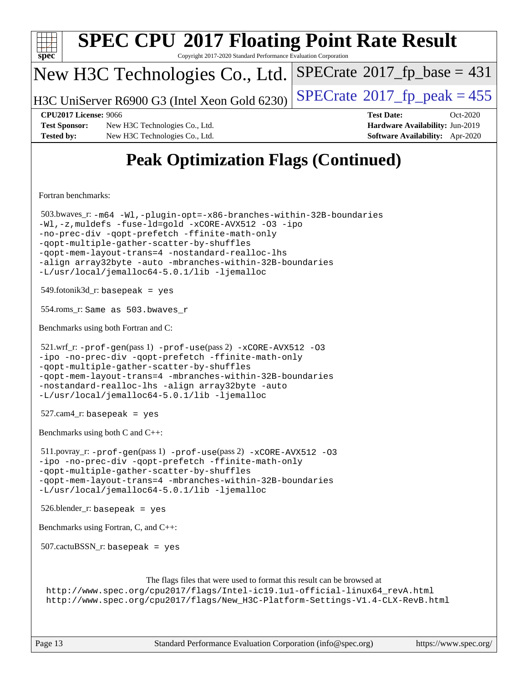| <b>SPEC CPU®2017 Floating Point Rate Result</b><br>Copyright 2017-2020 Standard Performance Evaluation Corporation<br>spec <sup>®</sup>                                                                                                                                                                                                                                                       |                                                                  |
|-----------------------------------------------------------------------------------------------------------------------------------------------------------------------------------------------------------------------------------------------------------------------------------------------------------------------------------------------------------------------------------------------|------------------------------------------------------------------|
| New H3C Technologies Co., Ltd.                                                                                                                                                                                                                                                                                                                                                                | $SPECrate^{\circ}2017$ fp base = 431                             |
| H3C UniServer R6900 G3 (Intel Xeon Gold 6230)                                                                                                                                                                                                                                                                                                                                                 | $SPECrate@2017_fp\_peak = 455$                                   |
| <b>CPU2017 License: 9066</b><br>New H3C Technologies Co., Ltd.                                                                                                                                                                                                                                                                                                                                | <b>Test Date:</b><br>Oct-2020<br>Hardware Availability: Jun-2019 |
| <b>Test Sponsor:</b><br><b>Tested by:</b><br>New H3C Technologies Co., Ltd.                                                                                                                                                                                                                                                                                                                   | Software Availability: Apr-2020                                  |
| <b>Peak Optimization Flags (Continued)</b>                                                                                                                                                                                                                                                                                                                                                    |                                                                  |
| Fortran benchmarks:                                                                                                                                                                                                                                                                                                                                                                           |                                                                  |
| 503.bwaves_r:-m64 -Wl,-plugin-opt=-x86-branches-within-32B-boundaries<br>-Wl,-z, muldefs -fuse-ld=gold -xCORE-AVX512 -03 -ipo<br>-no-prec-div -qopt-prefetch -ffinite-math-only<br>-qopt-multiple-gather-scatter-by-shuffles<br>-qopt-mem-layout-trans=4 -nostandard-realloc-lhs<br>-align array32byte -auto -mbranches-within-32B-boundaries<br>-L/usr/local/jemalloc64-5.0.1/lib -ljemalloc |                                                                  |
| $549$ .fotonik $3d$ _r: basepeak = yes                                                                                                                                                                                                                                                                                                                                                        |                                                                  |
| 554.roms_r: Same as 503.bwaves_r                                                                                                                                                                                                                                                                                                                                                              |                                                                  |
| Benchmarks using both Fortran and C:                                                                                                                                                                                                                                                                                                                                                          |                                                                  |
| $521.wrf_r$ : $-$ prof $-$ gen(pass 1) $-$ prof $-$ use(pass 2) $-x$ CORE $-$ AVX512 -03<br>-ipo -no-prec-div -qopt-prefetch -ffinite-math-only<br>-qopt-multiple-gather-scatter-by-shuffles<br>-qopt-mem-layout-trans=4 -mbranches-within-32B-boundaries<br>-nostandard-realloc-lhs -align array32byte -auto<br>-L/usr/local/jemalloc64-5.0.1/lib -ljemalloc                                 |                                                                  |
| $527.cam4_r$ : basepeak = yes                                                                                                                                                                                                                                                                                                                                                                 |                                                                  |
| Benchmarks using both C and C++:                                                                                                                                                                                                                                                                                                                                                              |                                                                  |
| $511.$ povray_r: -prof-qen(pass 1) -prof-use(pass 2) -xCORE-AVX512 -03<br>-ipo -no-prec-div -qopt-prefetch -ffinite-math-only<br>-qopt-multiple-gather-scatter-by-shuffles<br>-gopt-mem-layout-trans=4 -mbranches-within-32B-boundaries<br>-L/usr/local/jemalloc64-5.0.1/lib -ljemalloc                                                                                                       |                                                                  |
| $526.$ blender_r: basepeak = yes                                                                                                                                                                                                                                                                                                                                                              |                                                                  |
| Benchmarks using Fortran, C, and C++:                                                                                                                                                                                                                                                                                                                                                         |                                                                  |
| $507.cactuBSSN_r$ : basepeak = yes                                                                                                                                                                                                                                                                                                                                                            |                                                                  |
| The flags files that were used to format this result can be browsed at<br>http://www.spec.org/cpu2017/flags/Intel-ic19.1u1-official-linux64_revA.html<br>http://www.spec.org/cpu2017/flags/New_H3C-Platform-Settings-V1.4-CLX-RevB.html                                                                                                                                                       |                                                                  |